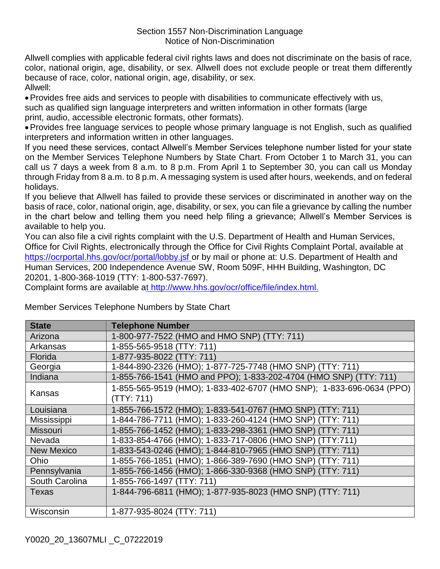Allwell complies with applicable federal civil rights laws and does not discriminate on the basis of race, color, national origin, age, disability, or sex. Allwell does not exclude people or treat them differently because of race, color, national origin, age, disability, or sex. Allwell:

Provides free aids and services to people with disabilities to communicate effectively with us, such as qualified sign language interpreters and written information in other formats (large print, audio, accessible electronic formats, other formats).

Provides free language services to people whose primary language is not English, such as qualified interpreters and information written in other languages.

If you need these services, contact Allwell's Member Services telephone number listed for your state on the Member Services Telephone Numbers by State Chart. From October 1 to March 31, you can call us 7 days a week from 8 a.m. to 8 p.m. From April 1 to September 30, you can call us Monday through Friday from 8 a.m. to 8 p.m. A messaging system is used after hours, weekends, and on federal holidays.

If you believe that Allwell has failed to provide these services or discriminated in another way on the basis of race, color, national origin, age, disability, or sex, you can file a grievance by calling the number in the chart below and telling them you need help filing a grievance; Allwell's Member Services is available to help you.

You can also file a civil rights complaint with the U.S. Department of Health and Human Services, Office for Civil Rights, electronically through the Office for Civil Rights Complaint Portal, available at <https://ocrportal.hhs.gov/ocr/portal/lobby.jsf> or by mail or phone at: U.S. Department of Health and Human Services, 200 Independence Avenue SW, Room 509F, HHH Building, Washington, DC 20201, 1-800-368-1019 (TTY: 1-800-537-7697).

Complaint forms are available [at](http://www.hhs.gov/ocr/office/file/index.html.) http://www.hhs.gov/ocr/office/file/index.html.

| <b>State</b>      | <b>Telephone Number</b>                                              |
|-------------------|----------------------------------------------------------------------|
| Arizona           | 1-800-977-7522 (HMO and HMO SNP) (TTY: 711)                          |
| Arkansas          | 1-855-565-9518 (TTY: 711)                                            |
| <b>Florida</b>    | 1-877-935-8022 (TTY: 711)                                            |
| Georgia           | 1-844-890-2326 (HMO); 1-877-725-7748 (HMO SNP) (TTY: 711)            |
| Indiana           | 1-855-766-1541 (HMO and PPO); 1-833-202-4704 (HMO SNP) (TTY: 711)    |
| Kansas            | 1-855-565-9519 (HMO); 1-833-402-6707 (HMO SNP); 1-833-696-0634 (PPO) |
|                   | (TTY: 711)                                                           |
| Louisiana         | 1-855-766-1572 (HMO); 1-833-541-0767 (HMO SNP) (TTY: 711)            |
| Mississippi       | 1-844-786-7711 (HMO); 1-833-260-4124 (HMO SNP) (TTY: 711)            |
| <b>Missouri</b>   | 1-855-766-1452 (HMO); 1-833-298-3361 (HMO SNP) (TTY: 711)            |
| Nevada            | 1-833-854-4766 (HMO); 1-833-717-0806 (HMO SNP) (TTY:711)             |
| <b>New Mexico</b> | 1-833-543-0246 (HMO); 1-844-810-7965 (HMO SNP) (TTY: 711)            |
| Ohio              | 1-855-766-1851 (HMO); 1-866-389-7690 (HMO SNP) (TTY: 711)            |
| Pennsylvania      | 1-855-766-1456 (HMO); 1-866-330-9368 (HMO SNP) (TTY: 711)            |
| South Carolina    | 1-855-766-1497 (TTY: 711)                                            |
| Texas             | 1-844-796-6811 (HMO); 1-877-935-8023 (HMO SNP) (TTY: 711)            |
|                   |                                                                      |
| Wisconsin         | 1-877-935-8024 (TTY: 711)                                            |

Member Services Telephone Numbers by State Chart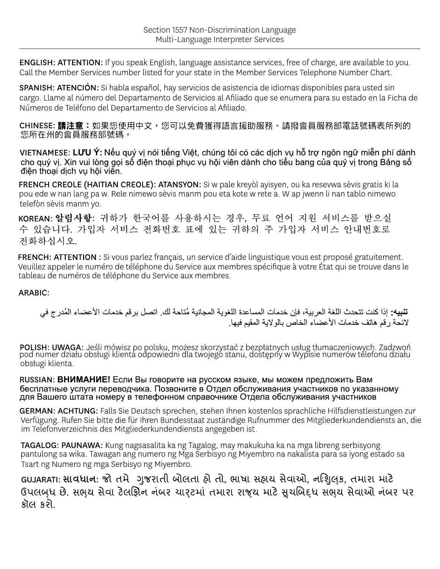**ENGLISH: ATTENTION:** If you speak English, language assistance services, free of charge, are available to you. Call the Member Services number listed for your state in the Member Services Telephone Number Chart.

SPANISH: ATENCIÓN: Si habla español, hay servicios de asistencia de idiomas disponibles para usted sin cargo. Llame al número del Departamento de Servicios al Afiliado que se enumera para su estado en la Ficha de Números de Teléfono del Departamento de Servicios al Afiliado.

CHINESE: 請注意:如果您使用中文,您可以免費獲得語言援助服務。請撥會員服務部電話號碼表所列的 您所在州的會員服務部號碼。

VIETNAMESE: LƯU Ý: Nếu quý vị nói tiếng Việt, chúng tôi có các dịch vụ hỗ trợ ngôn ngữ miễn phí dành cho quý vị. Xin vui lòng gọi số điện thoại phục vụ hội viên dành cho tiểu bang của quý vị trong Bảng số điện thoại dịch vụ hội viễn.

FRENCH CREOLE (HAITIAN CREOLE): ATANSYON: Si w pale kreyòl ayisyen, ou ka resevwa sèvis gratis ki la pou ede w nan lang pa w. Rele nimewo sèvis manm pou eta kote w rete a. W ap jwenn li nan tablo nimewo telefòn sèvis manm yo.

KOREAN: 알림사항: 귀하가 한국어를 사용하시는 경우, 무료 언어 지원 서비스를 받으실 수 있습니다. 가입자 서비스 전화번호 표에 있는 귀하의 주 가입자 서비스 안내번호로 전화하십시오.

FRENCH: ATTENTION : Si vous parlez français, un service d'aide linguistique vous est proposé gratuitement. Veuillez appeler le numéro de téléphone du Service aux membres spécifique à votre État qui se trouve dans le tableau de numéros de téléphone du Service aux membres.

## **ARABIC:**

تنبيه: إذا كنت تتحدث اللغة العر بية، فإن خدمات المساعدة اللغوية المجانية مُتاحة لك. اتصل بر قم خدمات الأعضاء المُدر ج في لائحة ر قم هاتف خدمات الأعضباء الخاص بالو لاية المقيم فيها.

POLISH: UWAGA: Jeśli mówisz po polsku, możesz skorzystać z bezpłatnych usług tłumaczeniowych. Zadzwoń<br>pod numer działu obsługi klienta odpowiedni dla twojego stanu, dostępny w Wypisie numerów telefonu działu obsługi klienta.

RUSSIAN: **ВНИМАНИЕ!** Если Вы говорите на русском языке, мы можем предложить Вам бесплатные услуги переводчика. Позвоните в Отдел обслуживания участников по указанному для Вашего штата номеру в телефонном справочнике Отдела обслуживания участников

GERMAN: ACHTUNG: Falls Sie Deutsch sprechen, stehen Ihnen kostenlos sprachliche Hilfsdienstleistungen zur Verfügung. Rufen Sie bitte die für Ihren Bundesstaat zuständige Rufnummer des Mitgliederkundendiensts an, die im Telefonverzeichnis des Mitgliederkundendiensts angegeben ist.

TAGALOG: PAUNAWA: Kung nagsasalita ka ng Tagalog, may makukuha ka na mga libreng serbisyong pantulong sa wika. Tawagan ang numero ng Mga Serbisyo ng Miyembro na nakalista para sa iyong estado sa Tsart ng Numero ng mga Serbisyo ng Miyembro.

GUJARATI: સાવધાન: જો તમે ગુજરાતી બોલતા હો તો, ભાષા સહાચ સેવાઓ, નણિલક, તમારા માટે ઉપલબંધ છે. સભય સેવા ટેલઊ઼િન નંબર યારટમાં તમારા રાજય માટે સૂચબિદ્ધ સભય સેવાઓ નંબર પર કૉલ કરો